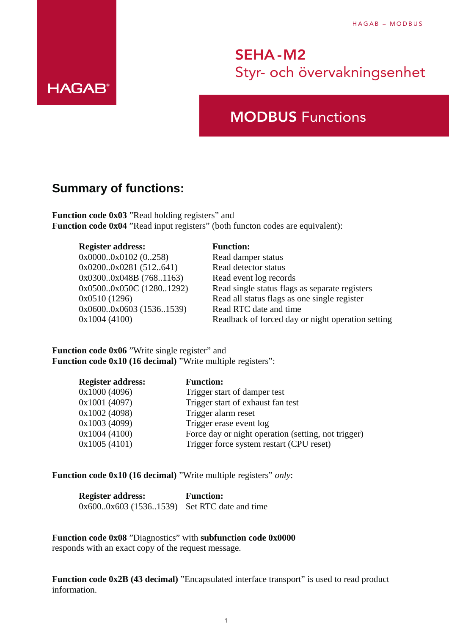## MODBUS Functions

### **Summary of functions:**

**HAGAB®** 

**Function code 0x03** "Read holding registers" and **Function code 0x04** "Read input registers" (both functon codes are equivalent):

#### **Register address: Function:**

| $0x00000x0102$ (0258)   | Read damper status                                |
|-------------------------|---------------------------------------------------|
| 0x02000x0281 (512641)   | Read detector status                              |
| 0x03000x048B (7681163)  | Read event log records                            |
| 0x05000x050C (12801292) | Read single status flags as separate registers    |
| 0x0510(1296)            | Read all status flags as one single register      |
| 0x06000x0603 (15361539) | Read RTC date and time                            |
| 0x1004(4100)            | Readback of forced day or night operation setting |
|                         |                                                   |

Function code 0x06 "Write single register" and **Function code 0x10 (16 decimal)** "Write multiple registers":

| <b>Register address:</b> | <b>Function:</b>                                    |
|--------------------------|-----------------------------------------------------|
| 0x1000 (4096)            | Trigger start of damper test                        |
| 0x1001 (4097)            | Trigger start of exhaust fan test                   |
| 0x1002 (4098)            | Trigger alarm reset                                 |
| 0x1003 (4099)            | Trigger erase event log                             |
| 0x1004(4100)             | Force day or night operation (setting, not trigger) |
| 0x1005(4101)             | Trigger force system restart (CPU reset)            |

**Function code 0x10 (16 decimal)** "Write multiple registers" *only*:

| <b>Register address:</b>                    | <b>Function:</b> |
|---------------------------------------------|------------------|
| 0x6000x603 (15361539) Set RTC date and time |                  |

**Function code 0x08** "Diagnostics" with **subfunction code 0x0000** responds with an exact copy of the request message.

Function code 0x2B (43 decimal) "Encapsulated interface transport" is used to read product information.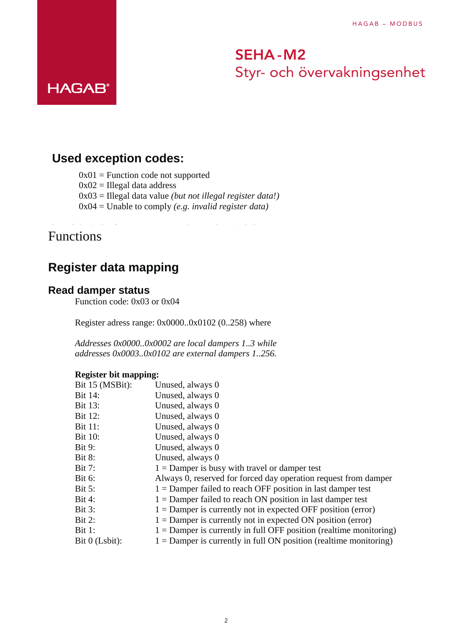### SEHA -M2 **Function code 0x08** "Diagnostics" with Styr- och övervakningsenhet responds with an exact copy of the request message.

### **Used exception codes:**

 $0x01$  = Function code not supported

On Control SEHA-M2 v1.1 MODBUS

 $0x02$  = Illegal data address

0x03 = Illegal data value *(but not illegal register data!)*

**Function code 0x2B (43 decimal)** "Encapsulated interface transport" is used to read product

0x04 = Unable to comply *(e.g. invalid register data)*

**Function code 0x10 (16 decimal)** "Write multiple registers" *only*:

0x600..0x603 (1536..1539) Set RTC date and time

**Register address: Function:**

### Functions

**HAGAB®** 

### **Register data mapping**

### **Read damper status**

Function code: 0x03 or 0x04

Register adress range: 0x0000..0x0102 (0..258) where

*Addresses 0x0000..0x0002 are local dampers 1..3 while addresses 0x0003..0x0102 are external dampers 1..256.*

### **Register bit mapping:**

| Bit 15 (MSBit):  | Unused, always 0                                                     |
|------------------|----------------------------------------------------------------------|
| Bit 14:          | Unused, always 0                                                     |
| <b>Bit 13:</b>   | Unused, always 0                                                     |
| <b>Bit 12:</b>   | Unused, always 0                                                     |
| <b>Bit 11:</b>   | Unused, always 0                                                     |
| <b>Bit 10:</b>   | Unused, always 0                                                     |
| <b>Bit 9:</b>    | Unused, always 0                                                     |
| <b>Bit 8:</b>    | Unused, always 0                                                     |
| <b>Bit 7:</b>    | $1 =$ Damper is busy with travel or damper test                      |
| <b>Bit 6:</b>    | Always 0, reserved for forced day operation request from damper      |
| <b>Bit 5:</b>    | $1 =$ Damper failed to reach OFF position in last damper test        |
| <b>Bit 4:</b>    | $1 =$ Damper failed to reach ON position in last damper test         |
| <b>Bit 3:</b>    | $1 =$ Damper is currently not in expected OFF position (error)       |
| Bit 2:           | $1 =$ Damper is currently not in expected ON position (error)        |
| <b>Bit 1:</b>    | $1 =$ Damper is currently in full OFF position (realtime monitoring) |
| Bit $0$ (Lsbit): | 1 = Damper is currently in full ON position (realtime monitoring)    |
|                  |                                                                      |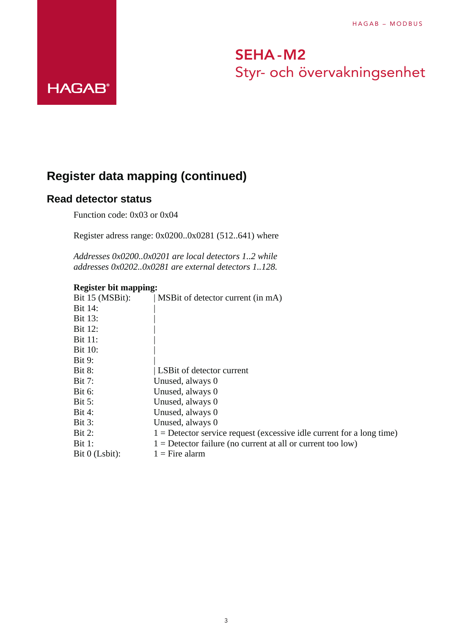## **Register data mapping (continued)**

### **Read detector status**

**HAGAB®** 

Function code: 0x03 or 0x04

Register adress range: 0x0200..0x0281 (512..641) where

*Addresses 0x0200..0x0201 are local detectors 1..2 while addresses 0x0202..0x0281 are external detectors 1..128.*

#### **Register bit mapping:**

| Bit 15 (MSBit):  | MSBit of detector current (in mA)                                       |
|------------------|-------------------------------------------------------------------------|
| Bit 14:          |                                                                         |
| <b>Bit 13:</b>   |                                                                         |
| <b>Bit 12:</b>   |                                                                         |
| <b>Bit 11:</b>   |                                                                         |
| <b>Bit 10:</b>   |                                                                         |
| <b>Bit 9:</b>    |                                                                         |
| <b>Bit 8:</b>    | LSBit of detector current                                               |
| <b>Bit 7:</b>    | Unused, always 0                                                        |
| <b>Bit 6:</b>    | Unused, always 0                                                        |
| <b>Bit 5:</b>    | Unused, always 0                                                        |
| <b>Bit 4:</b>    | Unused, always 0                                                        |
| <b>Bit 3:</b>    | Unused, always 0                                                        |
| <b>Bit 2:</b>    | $1 =$ Detector service request (excessive idle current for a long time) |
| <b>Bit 1:</b>    | $1 =$ Detector failure (no current at all or current too low)           |
| Bit $0$ (Lsbit): | $1 =$ Fire alarm                                                        |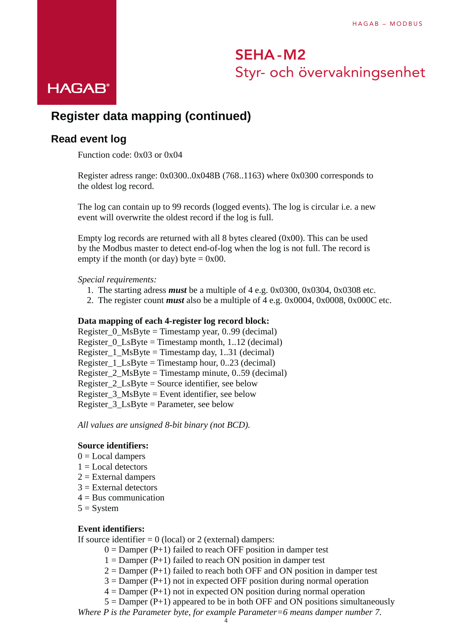# SEHA -M2 Styr- och övervakningsenhet<br>HAGAB®

## **Register data mapping (continued)**

### **Read event log**

Function code: 0x03 or 0x04

Register adress range: 0x0300..0x048B (768..1163) where 0x0300 corresponds to the oldest log record.

The log can contain up to 99 records (logged events). The log is circular i.e. a new event will overwrite the oldest record if the log is full.

Empty log records are returned with all 8 bytes cleared (0x00). This can be used by the Modbus master to detect end-of-log when the log is not full. The record is empty if the month (or day) byte  $= 0x00$ .

#### *Special requirements:*

- 1. The starting adress *must* be a multiple of 4 e.g. 0x0300, 0x0304, 0x0308 etc.
- 2. The register count *must* also be a multiple of 4 e.g. 0x0004, 0x0008, 0x000C etc.

#### **Data mapping of each 4-register log record block:**

Register  $0$  MsByte = Timestamp year, 0..99 (decimal) Register  $0$  LsByte = Timestamp month, 1..12 (decimal) Register  $1$  MsByte = Timestamp day, 1..31 (decimal) Register  $1$  LsByte = Timestamp hour, 0..23 (decimal) Register\_2\_MsByte = Timestamp minute, 0..59 (decimal) Register\_2\_LsByte = Source identifier, see below Register\_3\_MsByte = Event identifier, see below Register\_3\_LsByte = Parameter, see below

*All values are unsigned 8-bit binary (not BCD).*

#### **Source identifiers:**

- $0 =$  Local dampers
- $1 =$  Local detectors
- 2 = External dampers
- 3 = External detectors
- 4 = Bus communication
- $5 =$  System

### **Event identifiers:**

If source identifier  $= 0$  (local) or 2 (external) dampers:

- $0 =$  Damper (P+1) failed to reach OFF position in damper test
- $1 =$  Damper (P+1) failed to reach ON position in damper test
- $2 =$  Damper (P+1) failed to reach both OFF and ON position in damper test
- $3 =$  Damper (P+1) not in expected OFF position during normal operation
- $4 =$  Damper (P+1) not in expected ON position during normal operation
- $5 =$  Damper (P+1) appeared to be in both OFF and ON positions simultaneously

*Where P is the Parameter byte, for example Parameter=6 means damper number 7.*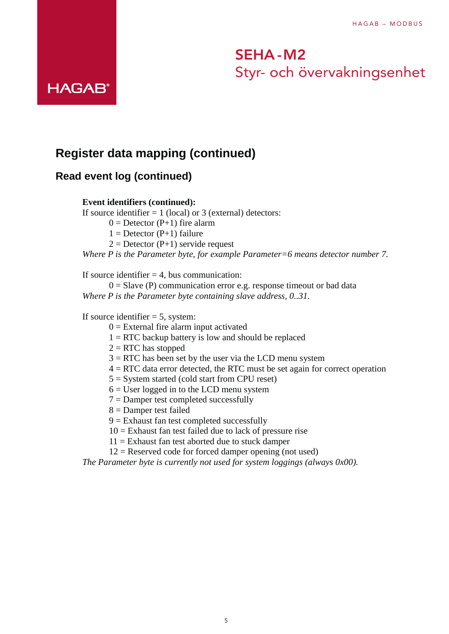### **Register data mapping (continued)**

### **Read event log (continued)**

**HAGAB®** 

### **Event identifiers (continued):**

If source identifier  $= 1$  (local) or 3 (external) detectors:

 $0 =$  Detector (P+1) fire alarm

 $1 =$  Detector (P+1) failure

 $2 =$  Detector (P+1) servide request

*Where P is the Parameter byte, for example Parameter=6 means detector number 7.*

If source identifier  $= 4$ , bus communication:

 $0 =$  Slave (P) communication error e.g. response timeout or bad data *Where P is the Parameter byte containing slave address, 0..31.*

#### If source identifier  $= 5$ , system:

- $0 =$  External fire alarm input activated
- 1 = RTC backup battery is low and should be replaced
- 2 = RTC has stopped
- 3 = RTC has been set by the user via the LCD menu system
- 4 = RTC data error detected, the RTC must be set again for correct operation
- 5 = System started (cold start from CPU reset)
- $6 =$  User logged in to the LCD menu system
- 7 = Damper test completed successfully
- 8 = Damper test failed
- 9 = Exhaust fan test completed successfully
- $10$  = Exhaust fan test failed due to lack of pressure rise
- 11 = Exhaust fan test aborted due to stuck damper
- 12 = Reserved code for forced damper opening (not used)

*The Parameter byte is currently not used for system loggings (always 0x00).*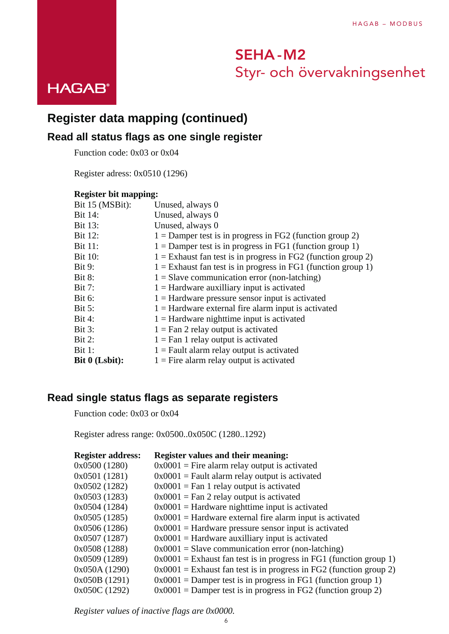

## **Register data mapping (continued) Register data mapping (continued)**

## **Read all status flags as one single register Read all status flags as one single register**

Function code: 0x03 or 0x04 Function code: 0x03 or 0x04

Register adress: 0x0510 (1296) Register adress: 0x0510 (1296)

## **Register bit mapping: Register bit mapping:**

| Unused, always 0                                                |
|-----------------------------------------------------------------|
| Unused, always 0                                                |
| Unused, always 0                                                |
| $1 =$ Damper test is in progress in FG2 (function group 2)      |
| $1 =$ Damper test is in progress in FG1 (function group 1)      |
| $1 =$ Exhaust fan test is in progress in FG2 (function group 2) |
| $1 =$ Exhaust fan test is in progress in FG1 (function group 1) |
| $1 =$ Slave communication error (non-latching)                  |
| $1 =$ Hardware auxilliary input is activated                    |
| $1 =$ Hardware pressure sensor input is activated               |
| $1 =$ Hardware external fire alarm input is activated           |
| $1 =$ Hardware nighttime input is activated                     |
| $1 =$ Fan 2 relay output is activated                           |
| $1 =$ Fan 1 relay output is activated                           |
| $1 =$ Fault alarm relay output is activated                     |
| $1 =$ Fire alarm relay output is activated                      |
|                                                                 |

## **Read single status flags as separate registers Read single status flags as separate registers**

Function code: 0x03 or 0x04 Function code: 0x03 or 0x04

Register adress range: 0x0500..0x050C (1280..1292) Register adress range: 0x0500..0x050C (1280..1292)

| <b>Register address:</b> | <b>Register values and their meaning:</b>                            |
|--------------------------|----------------------------------------------------------------------|
| 0x0500 (1280)            | $0x0001$ = Fire alarm relay output is activated                      |
| 0x0501 (1281)            | $0x0001$ = Fault alarm relay output is activated                     |
| 0x0502 (1282)            | $0x0001$ = Fan 1 relay output is activated                           |
| 0x0503 (1283)            | $0x0001$ = Fan 2 relay output is activated                           |
| 0x0504(1284)             | $0x0001$ = Hardware nighttime input is activated                     |
| 0x0505 (1285)            | $0x0001$ = Hardware external fire alarm input is activated           |
| 0x0506 (1286)            | $0x0001$ = Hardware pressure sensor input is activated               |
| 0x0507(1287)             | $0x0001$ = Hardware auxilliary input is activated                    |
| 0x0508 (1288)            | $0x0001$ = Slave communication error (non-latching)                  |
| 0x0509 (1289)            | $0x0001$ = Exhaust fan test is in progress in FG1 (function group 1) |
| 0x050A (1290)            | $0x0001$ = Exhaust fan test is in progress in FG2 (function group 2) |
| 0x050B (1291)            | $0x0001$ = Damper test is in progress in FG1 (function group 1)      |
| 0x050C(1292)             | $0x0001$ = Damper test is in progress in FG2 (function group 2)      |
|                          |                                                                      |

*Register values of inactive flags are 0x0000. Register values of inactive flags are 0x0000.*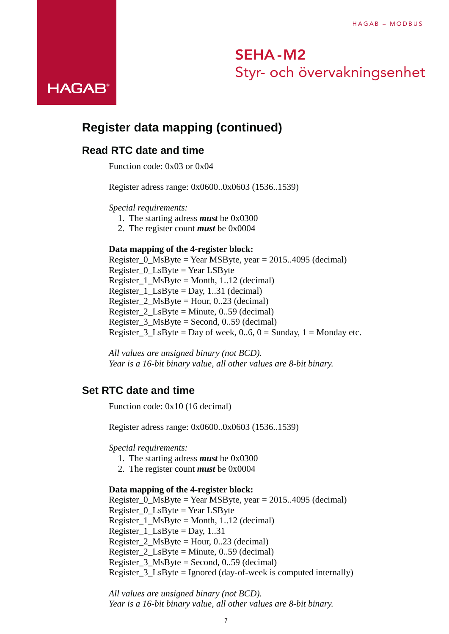## **Register data mapping (continued)**

### **Read RTC date and time**

Function code: 0x03 or 0x04

Register adress range: 0x0600..0x0603 (1536..1539)

*Special requirements:*

- 1. The starting adress *must* be 0x0300
- 2. The register count *must* be 0x0004

#### **Data mapping of the 4-register block:**

Register\_0\_MsByte = Year MSByte, year = 2015..4095 (decimal) Register\_0\_LsByte = Year LSByte Register  $1$  MsByte = Month, 1..12 (decimal) Register\_1\_LsByte = Day, 1..31 (decimal) Register 2 MsByte = Hour, 0..23 (decimal) Register 2  $LsByte = Minute, 0.59$  (decimal) Register  $3$  MsByte = Second, 0..59 (decimal) Register  $3$  LsByte = Day of week, 0..6, 0 = Sunday, 1 = Monday etc.

*All values are unsigned binary (not BCD). Year is a 16-bit binary value, all other values are 8-bit binary.*

### **Set RTC date and time**

Function code: 0x10 (16 decimal)

Register adress range: 0x0600..0x0603 (1536..1539)

*Special requirements:*

- 1. The starting adress *must* be 0x0300
- 2. The register count *must* be 0x0004

#### **Data mapping of the 4-register block:**

Register  $0$  MsByte = Year MSByte, year = 2015..4095 (decimal) Register\_0\_LsByte = Year LSByte Register\_1\_MsByte = Month, 1..12 (decimal) Register  $1$  LsByte = Day, 1..31 Register 2 MsByte = Hour, 0..23 (decimal) Register\_2\_LsByte = Minute, 0..59 (decimal) Register\_3\_MsByte = Second, 0..59 (decimal) Register  $3$  LsByte = Ignored (day-of-week is computed internally)

*All values are unsigned binary (not BCD). Year is a 16-bit binary value, all other values are 8-bit binary.*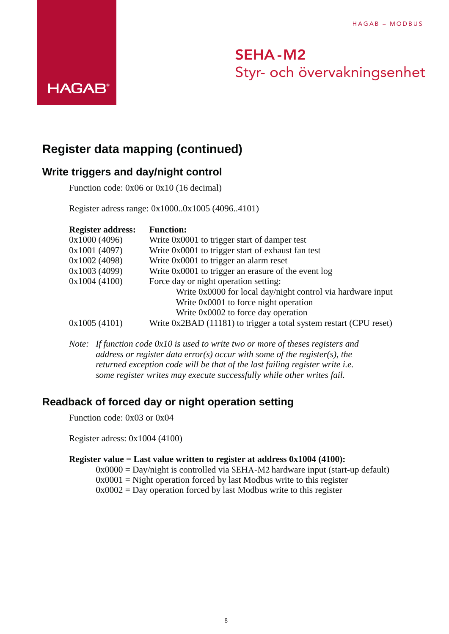### **Register data mapping (continued)**

### **Write triggers and day/night control**

**HAGAB®** 

Function code: 0x06 or 0x10 (16 decimal)

Register adress range: 0x1000..0x1005 (4096..4101)

| <b>Register address:</b> | <b>Function:</b>                                                   |
|--------------------------|--------------------------------------------------------------------|
| 0x1000(4096)             | Write 0x0001 to trigger start of damper test                       |
| 0x1001 (4097)            | Write 0x0001 to trigger start of exhaust fan test                  |
| 0x1002 (4098)            | Write 0x0001 to trigger an alarm reset                             |
| 0x1003 (4099)            | Write 0x0001 to trigger an erasure of the event log                |
| 0x1004(4100)             | Force day or night operation setting:                              |
|                          | Write 0x0000 for local day/night control via hardware input        |
|                          | Write 0x0001 to force night operation                              |
|                          | Write 0x0002 to force day operation                                |
| 0x1005(4101)             | Write 0x2BAD (11181) to trigger a total system restart (CPU reset) |

*Note: If function code 0x10 is used to write two or more of theses registers and address or register data error(s) occur with some of the register(s), the returned exception code will be that of the last failing register write i.e. some register writes may execute successfully while other writes fail.*

### **Readback of forced day or night operation setting**

Function code: 0x03 or 0x04

Register adress: 0x1004 (4100)

### **Register value = Last value written to register at address 0x1004 (4100):**

 $0x0000 =$  Day/night is controlled via SEHA-M2 hardware input (start-up default)

 $0x0001$  = Night operation forced by last Modbus write to this register

 $0x0002$  = Day operation forced by last Modbus write to this register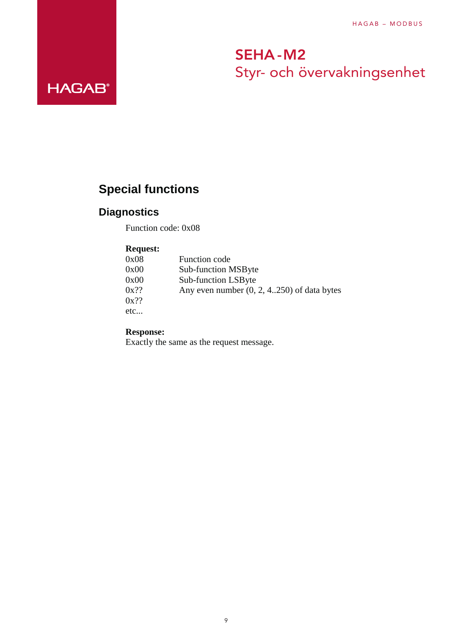## **Special functions**

## **Diagnostics**

**HAGAB®** 

Function code: 0x08

### **Request:**

| 0x08    | <b>Function code</b>                         |
|---------|----------------------------------------------|
| 0x00    | <b>Sub-function MSByte</b>                   |
| 0x00    | <b>Sub-function LSByte</b>                   |
| $0x$ ?? | Any even number $(0, 2, 4250)$ of data bytes |
| $0x$ ?? |                                              |
| etc…    |                                              |

**Response:**

Exactly the same as the request message.